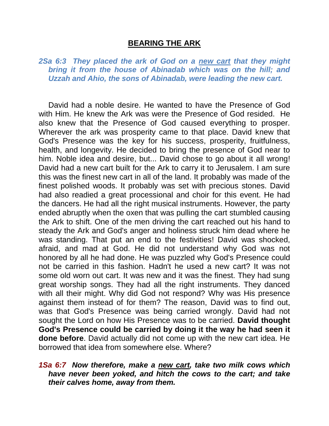## **BEARING THE ARK**

*2Sa 6:3 They placed the ark of God on a new cart that they might bring it from the house of Abinadab which was on the hill; and Uzzah and Ahio, the sons of Abinadab, were leading the new cart.*

David had a noble desire. He wanted to have the Presence of God with Him. He knew the Ark was were the Presence of God resided. He also knew that the Presence of God caused everything to prosper. Wherever the ark was prosperity came to that place. David knew that God's Presence was the key for his success, prosperity, fruitfulness, health, and longevity. He decided to bring the presence of God near to him. Noble idea and desire, but... David chose to go about it all wrong! David had a new cart built for the Ark to carry it to Jerusalem. I am sure this was the finest new cart in all of the land. It probably was made of the finest polished woods. It probably was set with precious stones. David had also readied a great processional and choir for this event. He had the dancers. He had all the right musical instruments. However, the party ended abruptly when the oxen that was pulling the cart stumbled causing the Ark to shift. One of the men driving the cart reached out his hand to steady the Ark and God's anger and holiness struck him dead where he was standing. That put an end to the festivities! David was shocked, afraid, and mad at God. He did not understand why God was not honored by all he had done. He was puzzled why God's Presence could not be carried in this fashion. Hadn't he used a new cart? It was not some old worn out cart. It was new and it was the finest. They had sung great worship songs. They had all the right instruments. They danced with all their might. Why did God not respond? Why was His presence against them instead of for them? The reason, David was to find out, was that God's Presence was being carried wrongly. David had not sought the Lord on how His Presence was to be carried. **David thought God's Presence could be carried by doing it the way he had seen it done before**. David actually did not come up with the new cart idea. He borrowed that idea from somewhere else. Where?

## *1Sa 6:7 Now therefore, make a new cart, take two milk cows which have never been yoked, and hitch the cows to the cart; and take their calves home, away from them.*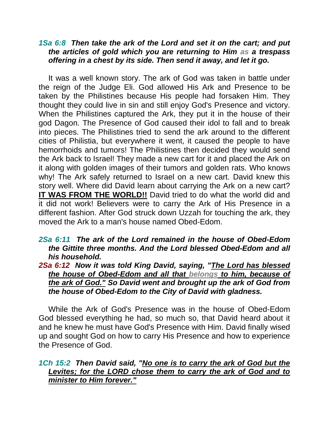## *1Sa 6:8 Then take the ark of the Lord and set it on the cart; and put the articles of gold which you are returning to Him as a trespass offering in a chest by its side. Then send it away, and let it go.*

It was a well known story. The ark of God was taken in battle under the reign of the Judge Eli. God allowed His Ark and Presence to be taken by the Philistines because His people had forsaken Him. They thought they could live in sin and still enjoy God's Presence and victory. When the Philistines captured the Ark, they put it in the house of their god Dagon. The Presence of God caused their idol to fall and to break into pieces. The Philistines tried to send the ark around to the different cities of Philistia, but everywhere it went, it caused the people to have hemorrhoids and tumors! The Philistines then decided they would send the Ark back to Israel! They made a new cart for it and placed the Ark on it along with golden images of their tumors and golden rats. Who knows why! The Ark safely returned to Israel on a new cart. David knew this story well. Where did David learn about carrying the Ark on a new cart? **IT WAS FROM THE WORLD!!** David tried to do what the world did and it did not work! Believers were to carry the Ark of His Presence in a different fashion. After God struck down Uzzah for touching the ark, they moved the Ark to a man's house named Obed-Edom.

- *2Sa 6:11 The ark of the Lord remained in the house of Obed-Edom the Gittite three months. And the Lord blessed Obed-Edom and all his household.*
- *2Sa 6:12 Now it was told King David, saying, "The Lord has blessed the house of Obed-Edom and all that belongs to him, because of the ark of God." So David went and brought up the ark of God from the house of Obed-Edom to the City of David with gladness.*

While the Ark of God's Presence was in the house of Obed-Edom God blessed everything he had, so much so, that David heard about it and he knew he must have God's Presence with Him. David finally wised up and sought God on how to carry His Presence and how to experience the Presence of God.

## *1Ch 15:2 Then David said, "No one is to carry the ark of God but the Levites; for the LORD chose them to carry the ark of God and to minister to Him forever."*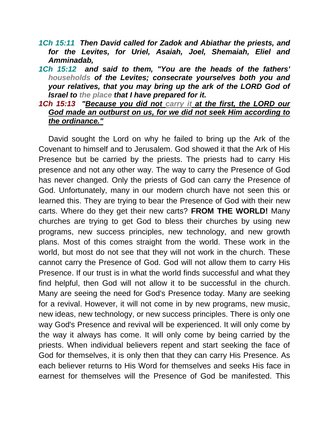- *1Ch 15:11 Then David called for Zadok and Abiathar the priests, and for the Levites, for Uriel, Asaiah, Joel, Shemaiah, Eliel and Amminadab,*
- *1Ch 15:12 and said to them, "You are the heads of the fathers' households of the Levites; consecrate yourselves both you and your relatives, that you may bring up the ark of the LORD God of Israel to the place that I have prepared for it.*
- *1Ch 15:13 "Because you did not carry it at the first, the LORD our God made an outburst on us, for we did not seek Him according to the ordinance."*

David sought the Lord on why he failed to bring up the Ark of the Covenant to himself and to Jerusalem. God showed it that the Ark of His Presence but be carried by the priests. The priests had to carry His presence and not any other way. The way to carry the Presence of God has never changed. Only the priests of God can carry the Presence of God. Unfortunately, many in our modern church have not seen this or learned this. They are trying to bear the Presence of God with their new carts. Where do they get their new carts? **FROM THE WORLD!** Many churches are trying to get God to bless their churches by using new programs, new success principles, new technology, and new growth plans. Most of this comes straight from the world. These work in the world, but most do not see that they will not work in the church. These cannot carry the Presence of God. God will not allow them to carry His Presence. If our trust is in what the world finds successful and what they find helpful, then God will not allow it to be successful in the church. Many are seeing the need for God's Presence today. Many are seeking for a revival. However, it will not come in by new programs, new music, new ideas, new technology, or new success principles. There is only one way God's Presence and revival will be experienced. It will only come by the way it always has come. It will only come by being carried by the priests. When individual believers repent and start seeking the face of God for themselves, it is only then that they can carry His Presence. As each believer returns to His Word for themselves and seeks His face in earnest for themselves will the Presence of God be manifested. This